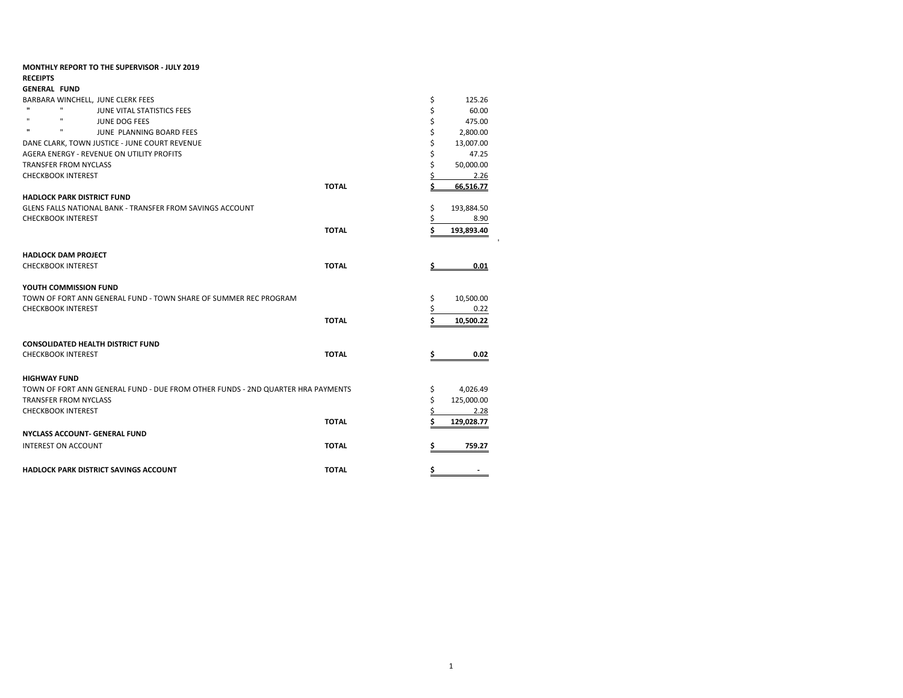| <b>MONTHLY REPORT TO THE SUPERVISOR - JULY 2019</b>                             |              |     |            |
|---------------------------------------------------------------------------------|--------------|-----|------------|
| <b>RECEIPTS</b>                                                                 |              |     |            |
| <b>GENERAL FUND</b>                                                             |              |     |            |
| BARBARA WINCHELL, JUNE CLERK FEES                                               |              | \$  | 125.26     |
| $\mathbf{u}$<br>$\mathbf{H}$<br>JUNE VITAL STATISTICS FEES                      |              | \$  | 60.00      |
| п.<br>$\mathbf{u}$<br><b>JUNE DOG FEES</b>                                      |              | \$  | 475.00     |
| $\mathbf{u}$<br>$\mathbf{H}$<br>JUNE PLANNING BOARD FEES                        |              | \$  | 2,800.00   |
| DANE CLARK, TOWN JUSTICE - JUNE COURT REVENUE                                   |              | \$  | 13,007.00  |
| AGERA ENERGY - REVENUE ON UTILITY PROFITS                                       |              | \$  | 47.25      |
| <b>TRANSFER FROM NYCLASS</b>                                                    |              | \$  | 50,000.00  |
| <b>CHECKBOOK INTEREST</b>                                                       |              | \$  | 2.26       |
|                                                                                 | <b>TOTAL</b> | Ś.  | 66.516.77  |
| <b>HADLOCK PARK DISTRICT FUND</b>                                               |              |     |            |
| <b>GLENS FALLS NATIONAL BANK - TRANSFER FROM SAVINGS ACCOUNT</b>                |              | \$  | 193,884.50 |
| <b>CHECKBOOK INTEREST</b>                                                       |              | \$  | 8.90       |
|                                                                                 | <b>TOTAL</b> | \$. | 193,893.40 |
|                                                                                 |              |     |            |
| <b>HADLOCK DAM PROJECT</b>                                                      |              |     |            |
| <b>CHECKBOOK INTEREST</b>                                                       | <b>TOTAL</b> |     | 0.01       |
|                                                                                 |              |     |            |
| YOUTH COMMISSION FUND                                                           |              |     |            |
| TOWN OF FORT ANN GENERAL FUND - TOWN SHARE OF SUMMER REC PROGRAM                |              | \$  | 10,500.00  |
| <b>CHECKBOOK INTEREST</b>                                                       |              | \$  | 0.22       |
|                                                                                 | <b>TOTAL</b> | Ś   | 10,500.22  |
|                                                                                 |              |     |            |
|                                                                                 |              |     |            |
| <b>CONSOLIDATED HEALTH DISTRICT FUND</b>                                        |              |     |            |
| <b>CHECKBOOK INTEREST</b>                                                       | <b>TOTAL</b> | \$  | 0.02       |
|                                                                                 |              |     |            |
| <b>HIGHWAY FUND</b>                                                             |              |     |            |
| TOWN OF FORT ANN GENERAL FUND - DUE FROM OTHER FUNDS - 2ND QUARTER HRA PAYMENTS |              | \$  | 4,026.49   |
| <b>TRANSFER FROM NYCLASS</b>                                                    |              | \$  | 125,000.00 |
| <b>CHECKBOOK INTEREST</b>                                                       |              | Ś   | 2.28       |
|                                                                                 | <b>TOTAL</b> | Ś   | 129,028.77 |
| <b>NYCLASS ACCOUNT- GENERAL FUND</b>                                            |              |     |            |
| <b>INTEREST ON ACCOUNT</b>                                                      | <b>TOTAL</b> | Ś   | 759.27     |
|                                                                                 |              |     |            |
| <b>HADLOCK PARK DISTRICT SAVINGS ACCOUNT</b>                                    | <b>TOTAL</b> | \$  |            |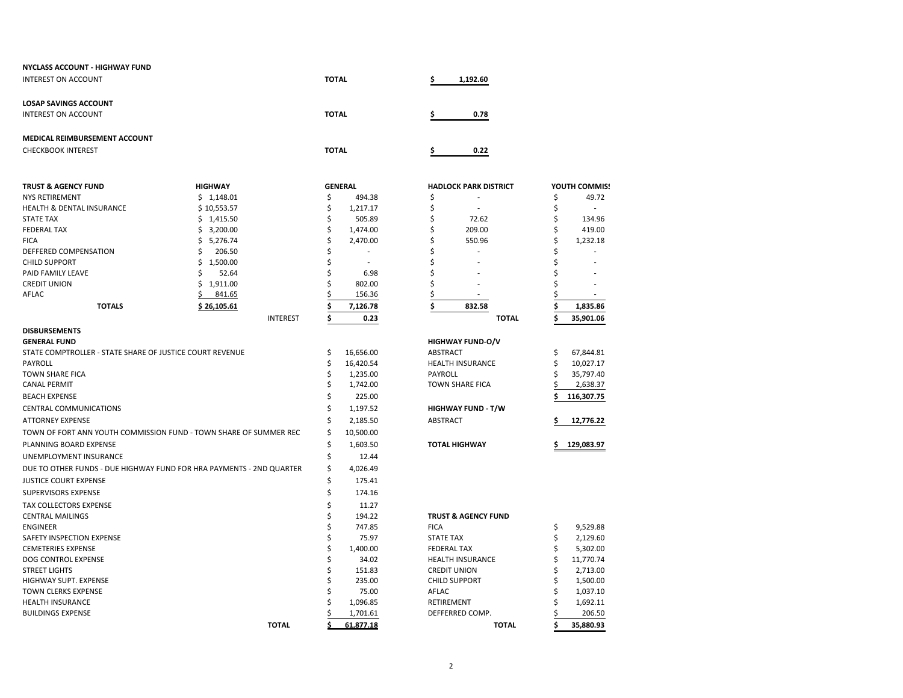| <b>NYCLASS ACCOUNT - HIGHWAY FUND</b>                    |                                                                      |              |                   |                            |                                |        |                    |
|----------------------------------------------------------|----------------------------------------------------------------------|--------------|-------------------|----------------------------|--------------------------------|--------|--------------------|
| <b>INTEREST ON ACCOUNT</b>                               |                                                                      | <b>TOTAL</b> |                   |                            | 1,192.60                       |        |                    |
| <b>LOSAP SAVINGS ACCOUNT</b>                             |                                                                      |              |                   |                            |                                |        |                    |
| <b>INTEREST ON ACCOUNT</b>                               |                                                                      |              | <b>TOTAL</b>      |                            | 0.78                           |        |                    |
| <b>MEDICAL REIMBURSEMENT ACCOUNT</b>                     |                                                                      |              |                   |                            |                                |        |                    |
| <b>CHECKBOOK INTEREST</b>                                |                                                                      | <b>TOTAL</b> |                   |                            | 0.22                           |        |                    |
| <b>TRUST &amp; AGENCY FUND</b>                           | <b>HIGHWAY</b>                                                       |              | <b>GENERAL</b>    |                            | <b>HADLOCK PARK DISTRICT</b>   |        | YOUTH COMMIS!      |
| <b>NYS RETIREMENT</b>                                    | \$1,148.01                                                           | \$           | 494.38            | \$                         |                                | \$     | 49.72              |
| <b>HEALTH &amp; DENTAL INSURANCE</b>                     | \$10,553.57                                                          | \$           | 1,217.17          | \$                         | ÷,                             | \$     | $\overline{a}$     |
| <b>STATE TAX</b>                                         | \$1,415.50                                                           | \$           | 505.89            | \$                         | 72.62                          | \$     | 134.96             |
| <b>FEDERAL TAX</b>                                       | 3,200.00<br>\$                                                       | \$           | 1,474.00          | \$                         | 209.00                         | \$     | 419.00             |
| <b>FICA</b>                                              | \$<br>5,276.74                                                       | \$           | 2,470.00          | \$                         | 550.96                         | Ś      | 1,232.18           |
| <b>DEFFERED COMPENSATION</b>                             | 206.50<br>Ś                                                          | Ś            |                   | Ś                          |                                | Ś      |                    |
| <b>CHILD SUPPORT</b>                                     | \$<br>1,500.00                                                       | Ś            | ٠                 | Ś                          |                                |        |                    |
| PAID FAMILY LEAVE                                        | 52.64<br>ς                                                           | \$           | 6.98              | Ś                          |                                | Ś      |                    |
| <b>CREDIT UNION</b>                                      | Ś<br>1,911.00                                                        | Ś            | 802.00            | Ś                          |                                |        |                    |
| AFLAC                                                    | \$<br>841.65                                                         | ς            | 156.36            | \$                         |                                |        |                    |
| <b>TOTALS</b>                                            | \$26,105.61                                                          | \$           | 7,126.78          | \$                         | 832.58                         |        | 1,835.86           |
|                                                          | <b>INTEREST</b>                                                      | \$           | 0.23              |                            | <b>TOTAL</b>                   |        | 35,901.06          |
| <b>DISBURSEMENTS</b>                                     |                                                                      |              |                   |                            |                                |        |                    |
| <b>GENERAL FUND</b>                                      |                                                                      |              |                   |                            | <b>HIGHWAY FUND-O/V</b>        |        |                    |
| STATE COMPTROLLER - STATE SHARE OF JUSTICE COURT REVENUE |                                                                      | \$           | 16,656.00         | <b>ABSTRACT</b>            |                                | \$     | 67,844.81          |
| PAYROLL                                                  |                                                                      | \$           | 16,420.54         |                            | <b>HEALTH INSURANCE</b>        | \$     | 10,027.17          |
| <b>TOWN SHARE FICA</b>                                   |                                                                      | \$           | 1,235.00          | <b>PAYROLL</b>             |                                | Ś      | 35,797.40          |
| <b>CANAL PERMIT</b>                                      |                                                                      | Ś            | 1,742.00          |                            | <b>TOWN SHARE FICA</b>         |        | 2,638.37           |
| <b>BEACH EXPENSE</b>                                     |                                                                      | \$           | 225.00            |                            |                                |        | 116,307.75         |
| <b>CENTRAL COMMUNICATIONS</b>                            |                                                                      | Ś            | 1,197.52          |                            | <b>HIGHWAY FUND - T/W</b>      |        |                    |
| <b>ATTORNEY EXPENSE</b>                                  |                                                                      | \$           | 2,185.50          | ABSTRACT                   |                                | Ś      | 12,776.22          |
|                                                          | TOWN OF FORT ANN YOUTH COMMISSION FUND - TOWN SHARE OF SUMMER REC    | \$           | 10,500.00         |                            |                                |        |                    |
| PLANNING BOARD EXPENSE                                   |                                                                      | \$           | 1,603.50          |                            | <b>TOTAL HIGHWAY</b>           | Ś      | 129,083.97         |
| UNEMPLOYMENT INSURANCE                                   |                                                                      | \$           | 12.44             |                            |                                |        |                    |
|                                                          |                                                                      | \$           |                   |                            |                                |        |                    |
|                                                          | DUE TO OTHER FUNDS - DUE HIGHWAY FUND FOR HRA PAYMENTS - 2ND QUARTER |              | 4,026.49          |                            |                                |        |                    |
| <b>JUSTICE COURT EXPENSE</b>                             |                                                                      | \$           | 175.41            |                            |                                |        |                    |
| <b>SUPERVISORS EXPENSE</b>                               |                                                                      | \$           | 174.16            |                            |                                |        |                    |
| <b>TAX COLLECTORS EXPENSE</b>                            |                                                                      | \$           | 11.27             |                            |                                |        |                    |
| <b>CENTRAL MAILINGS</b>                                  |                                                                      | \$           | 194.22            |                            | <b>TRUST &amp; AGENCY FUND</b> |        |                    |
| <b>ENGINEER</b>                                          |                                                                      | \$           | 747.85            | <b>FICA</b>                |                                | \$     | 9,529.88           |
| SAFETY INSPECTION EXPENSE                                |                                                                      | \$           | 75.97             | <b>STATE TAX</b>           |                                | Ś      | 2,129.60           |
| <b>CEMETERIES EXPENSE</b>                                |                                                                      | \$           | 1,400.00          | <b>FEDERAL TAX</b>         |                                | Ś      | 5,302.00           |
| DOG CONTROL EXPENSE                                      |                                                                      | \$           | 34.02             |                            | <b>HEALTH INSURANCE</b>        | Ś      | 11,770.74          |
| <b>STREET LIGHTS</b>                                     |                                                                      | \$           | 151.83            |                            | <b>CREDIT UNION</b>            | Ś      | 2,713.00           |
| HIGHWAY SUPT. EXPENSE                                    |                                                                      | Ś            | 235.00            |                            | <b>CHILD SUPPORT</b>           | Ś      | 1,500.00           |
| <b>TOWN CLERKS EXPENSE</b><br><b>HEALTH INSURANCE</b>    |                                                                      | Ś            | 75.00<br>1,096.85 | <b>AFLAC</b><br>RETIREMENT |                                | Ś<br>Ś | 1,037.10           |
| <b>BUILDINGS EXPENSE</b>                                 |                                                                      |              | 1,701.61          |                            | DEFFERRED COMP.                |        | 1,692.11<br>206.50 |
|                                                          | <b>TOTAL</b>                                                         |              | 61.877.18         |                            | <b>TOTAL</b>                   | Ś      | 35,880.93          |
|                                                          |                                                                      |              |                   |                            |                                |        |                    |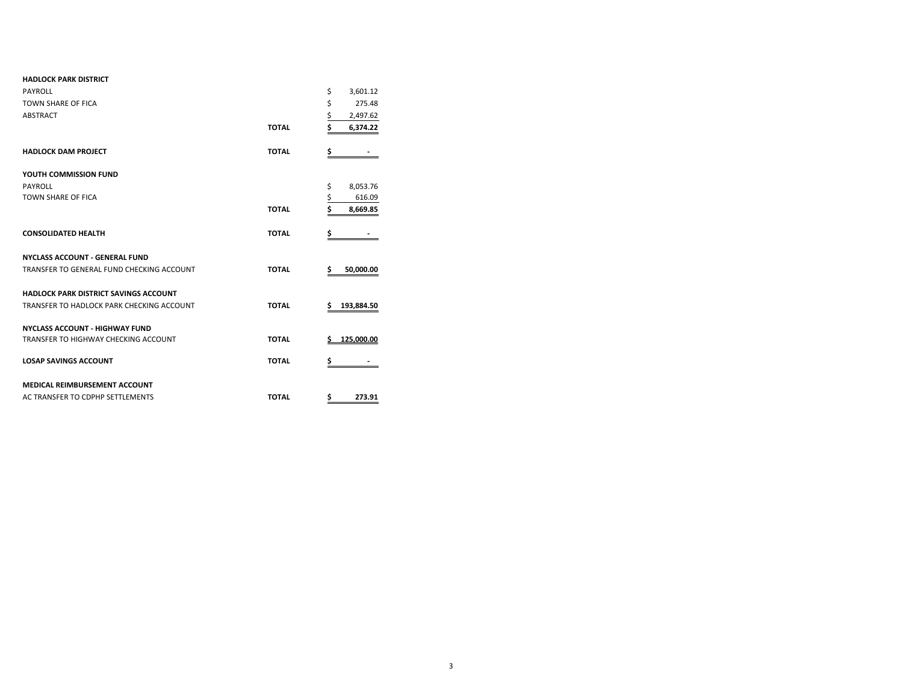| <b>HADLOCK PARK DISTRICT</b>                 |              |                       |
|----------------------------------------------|--------------|-----------------------|
| PAYROLL                                      |              | \$<br>3,601.12        |
| <b>TOWN SHARE OF FICA</b>                    |              | \$<br>275.48          |
| <b>ABSTRACT</b>                              |              | \$<br>2,497.62        |
|                                              | <b>TOTAL</b> | \$<br>6,374.22        |
| <b>HADLOCK DAM PROJECT</b>                   | <b>TOTAL</b> | \$                    |
| YOUTH COMMISSION FUND                        |              |                       |
| PAYROLL                                      |              | \$<br>8,053.76        |
| <b>TOWN SHARE OF FICA</b>                    |              | $rac{5}{5}$<br>616.09 |
|                                              | <b>TOTAL</b> | 8,669.85              |
| <b>CONSOLIDATED HEALTH</b>                   | <b>TOTAL</b> | \$                    |
| <b>NYCLASS ACCOUNT - GENERAL FUND</b>        |              |                       |
| TRANSFER TO GENERAL FUND CHECKING ACCOUNT    | <b>TOTAL</b> | \$<br>50,000.00       |
| <b>HADLOCK PARK DISTRICT SAVINGS ACCOUNT</b> |              |                       |
| TRANSFER TO HADLOCK PARK CHECKING ACCOUNT    | <b>TOTAL</b> | \$<br>193,884.50      |
| <b>NYCLASS ACCOUNT - HIGHWAY FUND</b>        |              |                       |
| TRANSFER TO HIGHWAY CHECKING ACCOUNT         | <b>TOTAL</b> | 125.000.00<br>S       |
| <b>LOSAP SAVINGS ACCOUNT</b>                 | <b>TOTAL</b> | \$                    |
| <b>MEDICAL REIMBURSEMENT ACCOUNT</b>         |              |                       |
| AC TRANSFER TO CDPHP SETTLEMENTS             | <b>TOTAL</b> | 273.91<br>\$          |